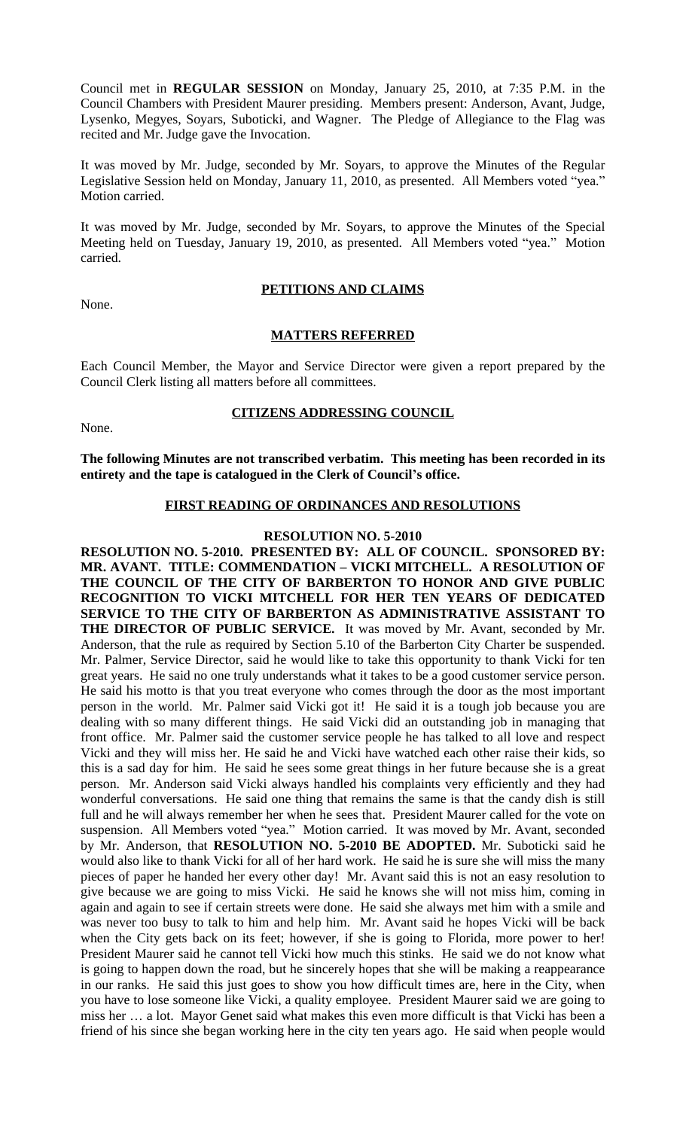Council met in **REGULAR SESSION** on Monday, January 25, 2010, at 7:35 P.M. in the Council Chambers with President Maurer presiding. Members present: Anderson, Avant, Judge, Lysenko, Megyes, Soyars, Suboticki, and Wagner. The Pledge of Allegiance to the Flag was recited and Mr. Judge gave the Invocation.

It was moved by Mr. Judge, seconded by Mr. Soyars, to approve the Minutes of the Regular Legislative Session held on Monday, January 11, 2010, as presented. All Members voted "yea." Motion carried.

It was moved by Mr. Judge, seconded by Mr. Soyars, to approve the Minutes of the Special Meeting held on Tuesday, January 19, 2010, as presented. All Members voted "yea." Motion carried.

# **PETITIONS AND CLAIMS**

None.

## **MATTERS REFERRED**

Each Council Member, the Mayor and Service Director were given a report prepared by the Council Clerk listing all matters before all committees.

#### **CITIZENS ADDRESSING COUNCIL**

None.

**The following Minutes are not transcribed verbatim. This meeting has been recorded in its entirety and the tape is catalogued in the Clerk of Council's office.**

# **FIRST READING OF ORDINANCES AND RESOLUTIONS**

#### **RESOLUTION NO. 5-2010**

**RESOLUTION NO. 5-2010. PRESENTED BY: ALL OF COUNCIL. SPONSORED BY: MR. AVANT. TITLE: COMMENDATION – VICKI MITCHELL. A RESOLUTION OF THE COUNCIL OF THE CITY OF BARBERTON TO HONOR AND GIVE PUBLIC RECOGNITION TO VICKI MITCHELL FOR HER TEN YEARS OF DEDICATED SERVICE TO THE CITY OF BARBERTON AS ADMINISTRATIVE ASSISTANT TO THE DIRECTOR OF PUBLIC SERVICE.** It was moved by Mr. Avant, seconded by Mr. Anderson, that the rule as required by Section 5.10 of the Barberton City Charter be suspended. Mr. Palmer, Service Director, said he would like to take this opportunity to thank Vicki for ten great years. He said no one truly understands what it takes to be a good customer service person. He said his motto is that you treat everyone who comes through the door as the most important person in the world. Mr. Palmer said Vicki got it! He said it is a tough job because you are dealing with so many different things. He said Vicki did an outstanding job in managing that front office. Mr. Palmer said the customer service people he has talked to all love and respect Vicki and they will miss her. He said he and Vicki have watched each other raise their kids, so this is a sad day for him. He said he sees some great things in her future because she is a great person. Mr. Anderson said Vicki always handled his complaints very efficiently and they had wonderful conversations. He said one thing that remains the same is that the candy dish is still full and he will always remember her when he sees that. President Maurer called for the vote on suspension. All Members voted "yea." Motion carried. It was moved by Mr. Avant, seconded by Mr. Anderson, that **RESOLUTION NO. 5-2010 BE ADOPTED.** Mr. Suboticki said he would also like to thank Vicki for all of her hard work. He said he is sure she will miss the many pieces of paper he handed her every other day! Mr. Avant said this is not an easy resolution to give because we are going to miss Vicki. He said he knows she will not miss him, coming in again and again to see if certain streets were done. He said she always met him with a smile and was never too busy to talk to him and help him. Mr. Avant said he hopes Vicki will be back when the City gets back on its feet; however, if she is going to Florida, more power to her! President Maurer said he cannot tell Vicki how much this stinks. He said we do not know what is going to happen down the road, but he sincerely hopes that she will be making a reappearance in our ranks. He said this just goes to show you how difficult times are, here in the City, when you have to lose someone like Vicki, a quality employee. President Maurer said we are going to miss her … a lot. Mayor Genet said what makes this even more difficult is that Vicki has been a friend of his since she began working here in the city ten years ago. He said when people would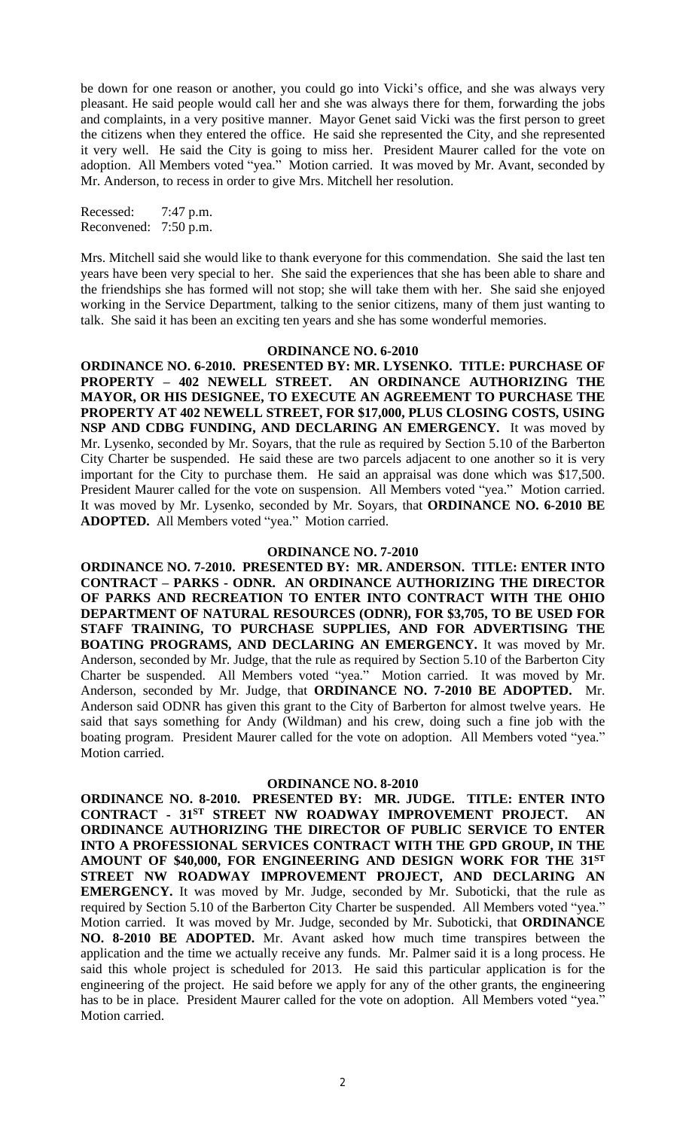be down for one reason or another, you could go into Vicki's office, and she was always very pleasant. He said people would call her and she was always there for them, forwarding the jobs and complaints, in a very positive manner. Mayor Genet said Vicki was the first person to greet the citizens when they entered the office. He said she represented the City, and she represented it very well. He said the City is going to miss her. President Maurer called for the vote on adoption. All Members voted "yea." Motion carried. It was moved by Mr. Avant, seconded by Mr. Anderson, to recess in order to give Mrs. Mitchell her resolution.

Recessed: 7:47 p.m. Reconvened: 7:50 p.m.

Mrs. Mitchell said she would like to thank everyone for this commendation. She said the last ten years have been very special to her. She said the experiences that she has been able to share and the friendships she has formed will not stop; she will take them with her. She said she enjoyed working in the Service Department, talking to the senior citizens, many of them just wanting to talk. She said it has been an exciting ten years and she has some wonderful memories.

#### **ORDINANCE NO. 6-2010**

**ORDINANCE NO. 6-2010. PRESENTED BY: MR. LYSENKO. TITLE: PURCHASE OF PROPERTY – 402 NEWELL STREET. AN ORDINANCE AUTHORIZING THE MAYOR, OR HIS DESIGNEE, TO EXECUTE AN AGREEMENT TO PURCHASE THE PROPERTY AT 402 NEWELL STREET, FOR \$17,000, PLUS CLOSING COSTS, USING NSP AND CDBG FUNDING, AND DECLARING AN EMERGENCY.** It was moved by Mr. Lysenko, seconded by Mr. Soyars, that the rule as required by Section 5.10 of the Barberton City Charter be suspended. He said these are two parcels adjacent to one another so it is very important for the City to purchase them. He said an appraisal was done which was \$17,500. President Maurer called for the vote on suspension. All Members voted "yea." Motion carried. It was moved by Mr. Lysenko, seconded by Mr. Soyars, that **ORDINANCE NO. 6-2010 BE ADOPTED.** All Members voted "yea." Motion carried.

#### **ORDINANCE NO. 7-2010**

**ORDINANCE NO. 7-2010. PRESENTED BY: MR. ANDERSON. TITLE: ENTER INTO CONTRACT – PARKS - ODNR. AN ORDINANCE AUTHORIZING THE DIRECTOR OF PARKS AND RECREATION TO ENTER INTO CONTRACT WITH THE OHIO DEPARTMENT OF NATURAL RESOURCES (ODNR), FOR \$3,705, TO BE USED FOR STAFF TRAINING, TO PURCHASE SUPPLIES, AND FOR ADVERTISING THE BOATING PROGRAMS, AND DECLARING AN EMERGENCY.** It was moved by Mr. Anderson, seconded by Mr. Judge, that the rule as required by Section 5.10 of the Barberton City Charter be suspended. All Members voted "yea." Motion carried. It was moved by Mr. Anderson, seconded by Mr. Judge, that **ORDINANCE NO. 7-2010 BE ADOPTED.** Mr. Anderson said ODNR has given this grant to the City of Barberton for almost twelve years. He said that says something for Andy (Wildman) and his crew, doing such a fine job with the boating program. President Maurer called for the vote on adoption. All Members voted "yea." Motion carried.

#### **ORDINANCE NO. 8-2010**

**ORDINANCE NO. 8-2010. PRESENTED BY: MR. JUDGE. TITLE: ENTER INTO CONTRACT - 31ST STREET NW ROADWAY IMPROVEMENT PROJECT. AN ORDINANCE AUTHORIZING THE DIRECTOR OF PUBLIC SERVICE TO ENTER INTO A PROFESSIONAL SERVICES CONTRACT WITH THE GPD GROUP, IN THE AMOUNT OF \$40,000, FOR ENGINEERING AND DESIGN WORK FOR THE 31ST STREET NW ROADWAY IMPROVEMENT PROJECT, AND DECLARING AN EMERGENCY.** It was moved by Mr. Judge, seconded by Mr. Suboticki, that the rule as required by Section 5.10 of the Barberton City Charter be suspended. All Members voted "yea." Motion carried. It was moved by Mr. Judge, seconded by Mr. Suboticki, that **ORDINANCE NO. 8-2010 BE ADOPTED.** Mr. Avant asked how much time transpires between the application and the time we actually receive any funds. Mr. Palmer said it is a long process. He said this whole project is scheduled for 2013. He said this particular application is for the engineering of the project. He said before we apply for any of the other grants, the engineering has to be in place. President Maurer called for the vote on adoption. All Members voted "yea." Motion carried.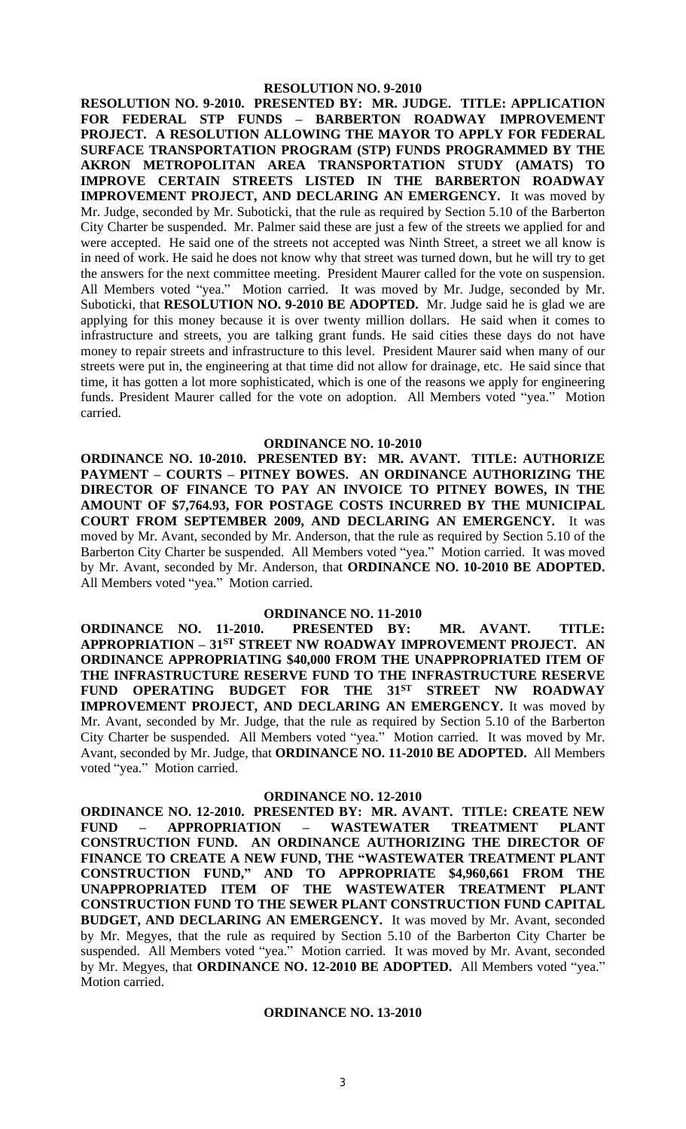**RESOLUTION NO. 9-2010. PRESENTED BY: MR. JUDGE. TITLE: APPLICATION FOR FEDERAL STP FUNDS – BARBERTON ROADWAY IMPROVEMENT PROJECT. A RESOLUTION ALLOWING THE MAYOR TO APPLY FOR FEDERAL SURFACE TRANSPORTATION PROGRAM (STP) FUNDS PROGRAMMED BY THE AKRON METROPOLITAN AREA TRANSPORTATION STUDY (AMATS) TO IMPROVE CERTAIN STREETS LISTED IN THE BARBERTON ROADWAY IMPROVEMENT PROJECT, AND DECLARING AN EMERGENCY.** It was moved by Mr. Judge, seconded by Mr. Suboticki, that the rule as required by Section 5.10 of the Barberton City Charter be suspended. Mr. Palmer said these are just a few of the streets we applied for and were accepted. He said one of the streets not accepted was Ninth Street, a street we all know is in need of work. He said he does not know why that street was turned down, but he will try to get the answers for the next committee meeting. President Maurer called for the vote on suspension. All Members voted "yea." Motion carried. It was moved by Mr. Judge, seconded by Mr. Suboticki, that **RESOLUTION NO. 9-2010 BE ADOPTED.** Mr. Judge said he is glad we are applying for this money because it is over twenty million dollars. He said when it comes to infrastructure and streets, you are talking grant funds. He said cities these days do not have money to repair streets and infrastructure to this level. President Maurer said when many of our streets were put in, the engineering at that time did not allow for drainage, etc. He said since that time, it has gotten a lot more sophisticated, which is one of the reasons we apply for engineering funds. President Maurer called for the vote on adoption. All Members voted "yea." Motion carried.

#### **ORDINANCE NO. 10-2010**

**ORDINANCE NO. 10-2010. PRESENTED BY: MR. AVANT. TITLE: AUTHORIZE PAYMENT – COURTS – PITNEY BOWES. AN ORDINANCE AUTHORIZING THE DIRECTOR OF FINANCE TO PAY AN INVOICE TO PITNEY BOWES, IN THE AMOUNT OF \$7,764.93, FOR POSTAGE COSTS INCURRED BY THE MUNICIPAL COURT FROM SEPTEMBER 2009, AND DECLARING AN EMERGENCY.** It was moved by Mr. Avant, seconded by Mr. Anderson, that the rule as required by Section 5.10 of the Barberton City Charter be suspended. All Members voted "yea." Motion carried. It was moved by Mr. Avant, seconded by Mr. Anderson, that **ORDINANCE NO. 10-2010 BE ADOPTED.** All Members voted "yea." Motion carried.

## **ORDINANCE NO. 11-2010**

**ORDINANCE NO. 11-2010. PRESENTED BY: MR. AVANT. TITLE: APPROPRIATION – 31ST STREET NW ROADWAY IMPROVEMENT PROJECT. AN ORDINANCE APPROPRIATING \$40,000 FROM THE UNAPPROPRIATED ITEM OF THE INFRASTRUCTURE RESERVE FUND TO THE INFRASTRUCTURE RESERVE FUND OPERATING BUDGET FOR THE 31ST STREET NW ROADWAY IMPROVEMENT PROJECT, AND DECLARING AN EMERGENCY.** It was moved by Mr. Avant, seconded by Mr. Judge, that the rule as required by Section 5.10 of the Barberton City Charter be suspended. All Members voted "yea." Motion carried. It was moved by Mr. Avant, seconded by Mr. Judge, that **ORDINANCE NO. 11-2010 BE ADOPTED.** All Members voted "yea." Motion carried.

#### **ORDINANCE NO. 12-2010**

**ORDINANCE NO. 12-2010. PRESENTED BY: MR. AVANT. TITLE: CREATE NEW FUND – APPROPRIATION – WASTEWATER TREATMENT PLANT CONSTRUCTION FUND. AN ORDINANCE AUTHORIZING THE DIRECTOR OF FINANCE TO CREATE A NEW FUND, THE "WASTEWATER TREATMENT PLANT CONSTRUCTION FUND," AND TO APPROPRIATE \$4,960,661 FROM THE UNAPPROPRIATED ITEM OF THE WASTEWATER TREATMENT PLANT CONSTRUCTION FUND TO THE SEWER PLANT CONSTRUCTION FUND CAPITAL BUDGET, AND DECLARING AN EMERGENCY.** It was moved by Mr. Avant, seconded by Mr. Megyes, that the rule as required by Section 5.10 of the Barberton City Charter be suspended. All Members voted "yea." Motion carried. It was moved by Mr. Avant, seconded by Mr. Megyes, that **ORDINANCE NO. 12-2010 BE ADOPTED.** All Members voted "yea." Motion carried.

#### **ORDINANCE NO. 13-2010**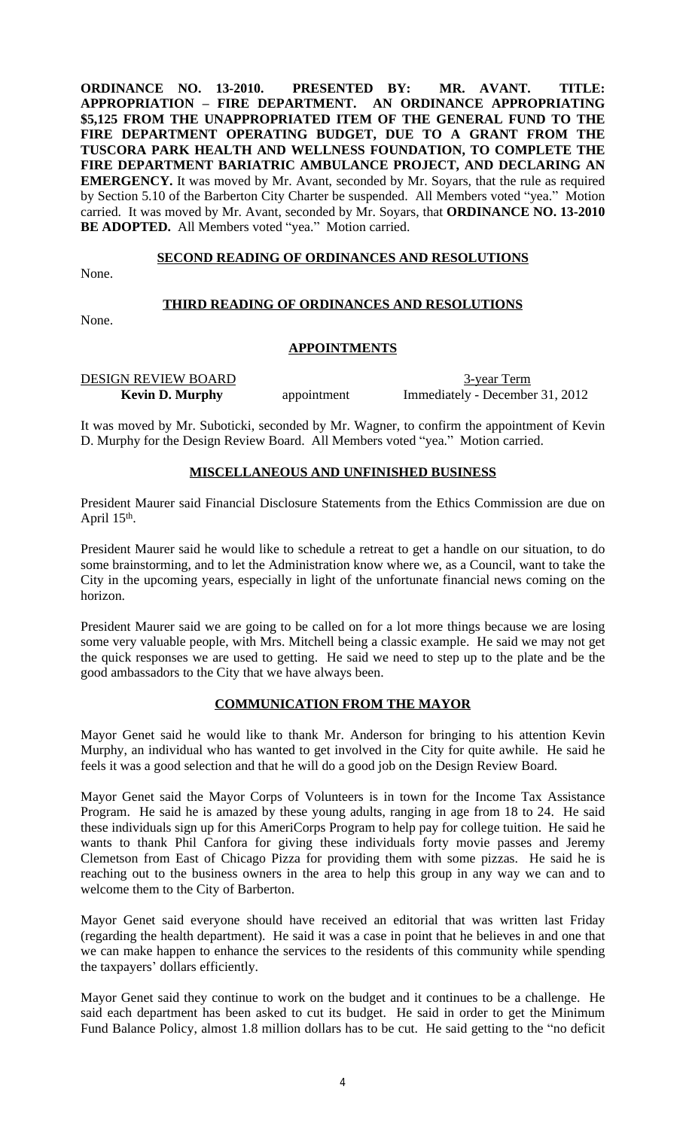**ORDINANCE NO. 13-2010. PRESENTED BY: MR. AVANT. TITLE: APPROPRIATION – FIRE DEPARTMENT. AN ORDINANCE APPROPRIATING \$5,125 FROM THE UNAPPROPRIATED ITEM OF THE GENERAL FUND TO THE FIRE DEPARTMENT OPERATING BUDGET, DUE TO A GRANT FROM THE TUSCORA PARK HEALTH AND WELLNESS FOUNDATION, TO COMPLETE THE FIRE DEPARTMENT BARIATRIC AMBULANCE PROJECT, AND DECLARING AN EMERGENCY.** It was moved by Mr. Avant, seconded by Mr. Soyars, that the rule as required by Section 5.10 of the Barberton City Charter be suspended. All Members voted "yea." Motion carried. It was moved by Mr. Avant, seconded by Mr. Soyars, that **ORDINANCE NO. 13-2010** BE ADOPTED. All Members voted "yea." Motion carried.

#### **SECOND READING OF ORDINANCES AND RESOLUTIONS**

None.

## **THIRD READING OF ORDINANCES AND RESOLUTIONS**

None.

## **APPOINTMENTS**

DESIGN REVIEW BOARD 3-year Term

**Kevin D. Murphy** appointment Immediately - December 31, 2012

It was moved by Mr. Suboticki, seconded by Mr. Wagner, to confirm the appointment of Kevin D. Murphy for the Design Review Board. All Members voted "yea." Motion carried.

## **MISCELLANEOUS AND UNFINISHED BUSINESS**

President Maurer said Financial Disclosure Statements from the Ethics Commission are due on April 15<sup>th</sup>.

President Maurer said he would like to schedule a retreat to get a handle on our situation, to do some brainstorming, and to let the Administration know where we, as a Council, want to take the City in the upcoming years, especially in light of the unfortunate financial news coming on the horizon.

President Maurer said we are going to be called on for a lot more things because we are losing some very valuable people, with Mrs. Mitchell being a classic example. He said we may not get the quick responses we are used to getting. He said we need to step up to the plate and be the good ambassadors to the City that we have always been.

# **COMMUNICATION FROM THE MAYOR**

Mayor Genet said he would like to thank Mr. Anderson for bringing to his attention Kevin Murphy, an individual who has wanted to get involved in the City for quite awhile. He said he feels it was a good selection and that he will do a good job on the Design Review Board.

Mayor Genet said the Mayor Corps of Volunteers is in town for the Income Tax Assistance Program. He said he is amazed by these young adults, ranging in age from 18 to 24. He said these individuals sign up for this AmeriCorps Program to help pay for college tuition. He said he wants to thank Phil Canfora for giving these individuals forty movie passes and Jeremy Clemetson from East of Chicago Pizza for providing them with some pizzas. He said he is reaching out to the business owners in the area to help this group in any way we can and to welcome them to the City of Barberton.

Mayor Genet said everyone should have received an editorial that was written last Friday (regarding the health department). He said it was a case in point that he believes in and one that we can make happen to enhance the services to the residents of this community while spending the taxpayers' dollars efficiently.

Mayor Genet said they continue to work on the budget and it continues to be a challenge. He said each department has been asked to cut its budget. He said in order to get the Minimum Fund Balance Policy, almost 1.8 million dollars has to be cut. He said getting to the "no deficit